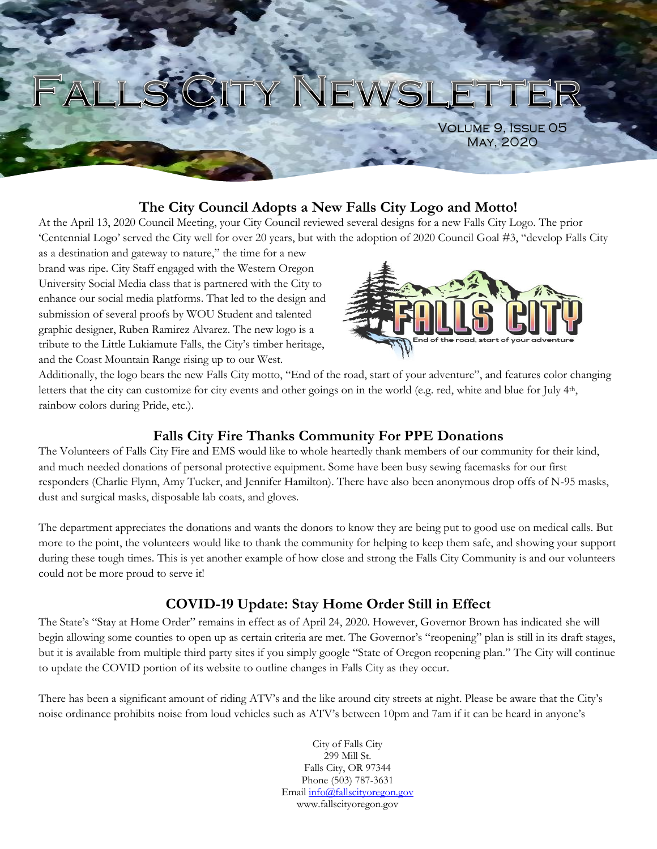# WSLETT

Volume 9, Issue 05 May, 2020

#### **The City Council Adopts a New Falls City Logo and Motto!**

At the April 13, 2020 Council Meeting, your City Council reviewed several designs for a new Falls City Logo. The prior "Centennial Logo" served the City well for over 20 years, but with the adoption of 2020 Council Goal #3, "develop Falls City

as a destination and gateway to nature," the time for a new brand was ripe. City Staff engaged with the Western Oregon University Social Media class that is partnered with the City to enhance our social media platforms. That led to the design and submission of several proofs by WOU Student and talented graphic designer, Ruben Ramirez Alvarez. The new logo is a tribute to the Little Lukiamute Falls, the City"s timber heritage, and the Coast Mountain Range rising up to our West.



Additionally, the logo bears the new Falls City motto, "End of the road, start of your adventure", and features color changing letters that the city can customize for city events and other goings on in the world (e.g. red, white and blue for July 4<sup>th</sup>, rainbow colors during Pride, etc.).

#### **Falls City Fire Thanks Community For PPE Donations**

The Volunteers of Falls City Fire and EMS would like to whole heartedly thank members of our community for their kind, and much needed donations of personal protective equipment. Some have been busy sewing facemasks for our first responders (Charlie Flynn, Amy Tucker, and Jennifer Hamilton). There have also been anonymous drop offs of N-95 masks, dust and surgical masks, disposable lab coats, and gloves.

The department appreciates the donations and wants the donors to know they are being put to good use on medical calls. But more to the point, the volunteers would like to thank the community for helping to keep them safe, and showing your support during these tough times. This is yet another example of how close and strong the Falls City Community is and our volunteers could not be more proud to serve it!

## **COVID-19 Update: Stay Home Order Still in Effect**

The State's "Stay at Home Order" remains in effect as of April 24, 2020. However, Governor Brown has indicated she will begin allowing some counties to open up as certain criteria are met. The Governor's "reopening" plan is still in its draft stages, but it is available from multiple third party sites if you simply google "State of Oregon reopening plan." The City will continue to update the COVID portion of its website to outline changes in Falls City as they occur.

There has been a significant amount of riding ATV"s and the like around city streets at night. Please be aware that the City"s noise ordinance prohibits noise from loud vehicles such as ATV"s between 10pm and 7am if it can be heard in anyone"s

> City of Falls City 299 Mill St. Falls City, OR 97344 Phone (503) 787-3631 Email info@fallscityoregon.gov www.fallscityoregon.gov